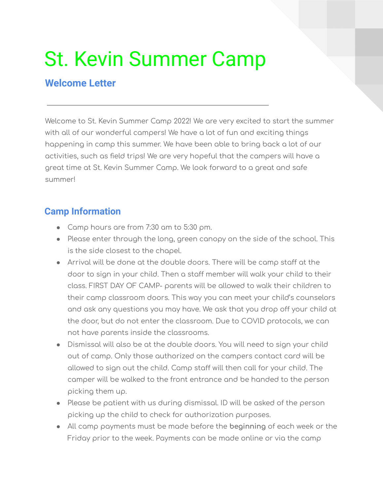## St. Kevin Summer Camp

## **Welcome Letter**

Welcome to St. Kevin Summer Camp 2022! We are very excited to start the summer with all of our wonderful campers! We have a lot of fun and exciting things happening in camp this summer. We have been able to bring back a lot of our activities, such as field trips! We are very hopeful that the campers will have a great time at St. Kevin Summer Camp. We look forward to a great and safe summer!

## **Camp Information**

- Camp hours are from 7:30 am to 5:30 pm.
- Please enter through the long, green canopy on the side of the school. This is the side closest to the chapel.
- Arrival will be done at the double doors. There will be camp staff at the door to sign in your child. Then a staff member will walk your child to their class. FIRST DAY OF CAMP- parents will be allowed to walk their children to their camp classroom doors. This way you can meet your child's counselors and ask any questions you may have. We ask that you drop off your child at the door, but do not enter the classroom. Due to COVID protocols, we can not have parents inside the classrooms.
- Dismissal will also be at the double doors. You will need to sign your child out of camp. Only those authorized on the campers contact card will be allowed to sign out the child. Camp staff will then call for your child. The camper will be walked to the front entrance and be handed to the person picking them up.
- Please be patient with us during dismissal. ID will be asked of the person picking up the child to check for authorization purposes.
- All camp payments must be made before the **beginning** of each week or the Friday prior to the week. Payments can be made online or via the camp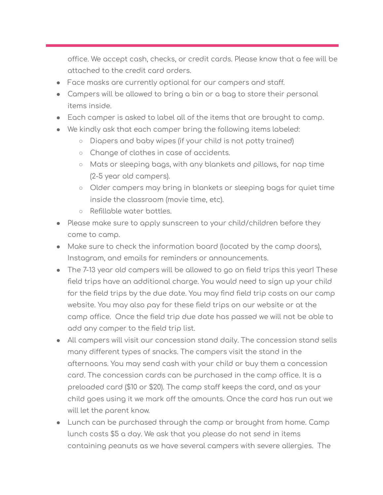office. We accept cash, checks, or credit cards. Please know that a fee will be attached to the credit card orders.

- Face masks are currently optional for our campers and staff.
- Campers will be allowed to bring a bin or a bag to store their personal items inside.
- Each camper is asked to label all of the items that are brought to camp.
- We kindly ask that each camper bring the following items labeled:
	- Diapers and baby wipes (if your child is not potty trained)
	- Change of clothes in case of accidents.
	- Mats or sleeping bags, with any blankets and pillows, for nap time (2-5 year old campers).
	- Older campers may bring in blankets or sleeping bags for quiet time inside the classroom (movie time, etc).
	- Refillable water bottles.
- Please make sure to apply sunscreen to your child/children before they come to camp.
- Make sure to check the information board (located by the camp doors), Instagram, and emails for reminders or announcements.
- The 7-13 year old campers will be allowed to go on field trips this year! These field trips have an additional charge. You would need to sign up your child for the field trips by the due date. You may find field trip costs on our camp website. You may also pay for these field trips on our website or at the camp office. Once the field trip due date has passed we will not be able to add any camper to the field trip list.
- All campers will visit our concession stand daily. The concession stand sells many different types of snacks. The campers visit the stand in the afternoons. You may send cash with your child or buy them a concession card. The concession cards can be purchased in the camp office. It is a preloaded card (\$10 or \$20). The camp staff keeps the card, and as your child goes using it we mark off the amounts. Once the card has run out we will let the parent know.
- Lunch can be purchased through the camp or brought from home. Camp lunch costs \$5 a day. We ask that you please do not send in items containing peanuts as we have several campers with severe allergies. The